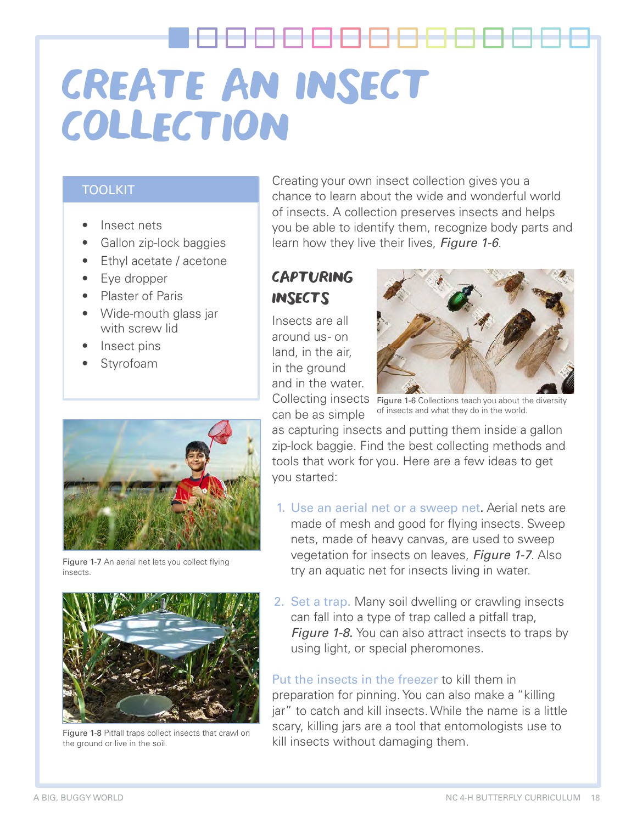#### TOOLKIT

- Insect nets
- Gallon zip-lock baggies
- Ethyl acetate / acetone
- Eye dropper
- Plaster of Paris
- Wide-mouth glass jar with screw lid
- Insect pins
- **Styrofoam**



Figure 1-7 An aerial net lets you collect flying insects.



Figure 1-8 Pitfall traps collect insects that crawl on the ground or live in the soil.

Creating your own insect collection gives you a chance to learn about the wide and wonderful world of insects. A collection preserves insects and helps you be able to identify them, recognize body parts and learn how they live their lives, Figure 1-6.

# CAPTURING **INSECTS**

Insects are all around us - on land, in the air, in the ground and in the water.



Collecting insects Figure 1-6 Collections teach you about the diversity can be as simple of insects and what they do in the world.

as capturing insects and putting them inside a gallon zip-lock baggie. Find the best collecting methods and tools that work for you. Here are a few ideas to get you started:

- 1. Use an aerial net or a sweep net. Aerial nets are made of mesh and good for flying insects. Sweep nets, made of heavy canvas, are used to sweep vegetation for insects on leaves, Figure 1-7. Also try an aquatic net for insects living in water.
- 2. Set a trap. Many soil dwelling or crawling insects can fall into a type of trap called a pitfall trap, **Figure 1-8.** You can also attract insects to traps by using light, or special pheromones.

Put the insects in the freezer to kill them in preparation for pinning. You can also make a "killing jar" to catch and kill insects. While the name is a little scary, killing jars are a tool that entomologists use to kill insects without damaging them.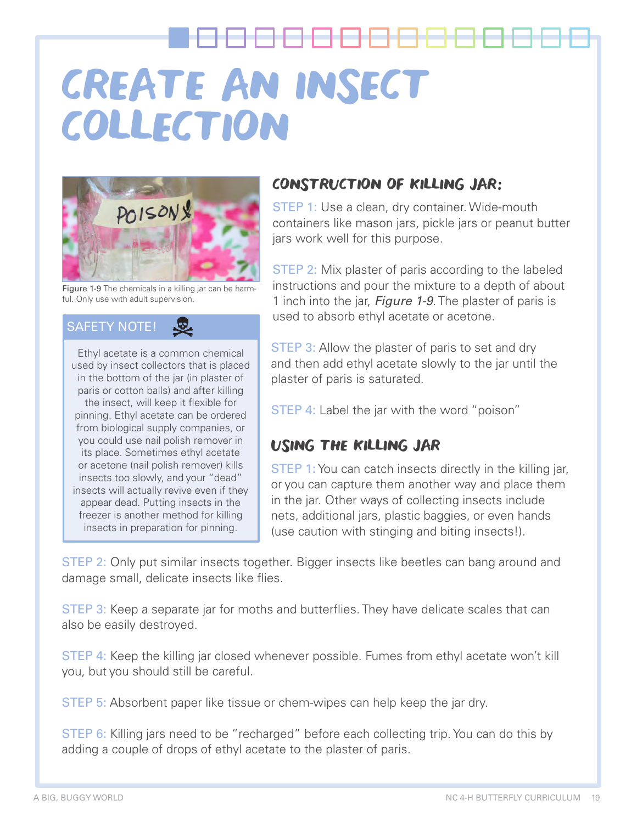

Figure 1-9 The chemicals in a killing jar can be harmful. Only use with adult supervision.

#### SAFETY NOTE!

Ethyl acetate is a common chemical used by insect collectors that is placed in the bottom of the jar (in plaster of paris or cotton balls) and after killing the insect, will keep it flexible for pinning. Ethyl acetate can be ordered from biological supply companies, or you could use nail polish remover in its place. Sometimes ethyl acetate or acetone (nail polish remover) kills insects too slowly, and your "dead" insects will actually revive even if they appear dead. Putting insects in the freezer is another method for killing insects in preparation for pinning.

### CONSTRUCTION OF KILLING JAR:

STEP 1: Use a clean, dry container. Wide-mouth containers like mason jars, pickle jars or peanut butter jars work well for this purpose.

STEP 2: Mix plaster of paris according to the labeled instructions and pour the mixture to a depth of about 1 inch into the jar, *Figure 1-9*. The plaster of paris is used to absorb ethyl acetate or acetone.

**STEP 3:** Allow the plaster of paris to set and dry and then add ethyl acetate slowly to the jar until the plaster of paris is saturated.

**STEP 4:** Label the jar with the word "poison"

### USING THE KILLING JAR

STEP 1: You can catch insects directly in the killing jar, or you can capture them another way and place them in the jar. Other ways of collecting insects include nets, additional jars, plastic baggies, or even hands (use caution with stinging and biting insects!).

STEP 2: Only put similar insects together. Bigger insects like beetles can bang around and damage small, delicate insects like flies.

STEP 3: Keep a separate jar for moths and butterflies. They have delicate scales that can also be easily destroyed.

STEP 4: Keep the killing jar closed whenever possible. Fumes from ethyl acetate won't kill you, but you should still be careful.

STEP 5: Absorbent paper like tissue or chem-wipes can help keep the jar dry.

STEP 6: Killing jars need to be "recharged" before each collecting trip. You can do this by adding a couple of drops of ethyl acetate to the plaster of paris.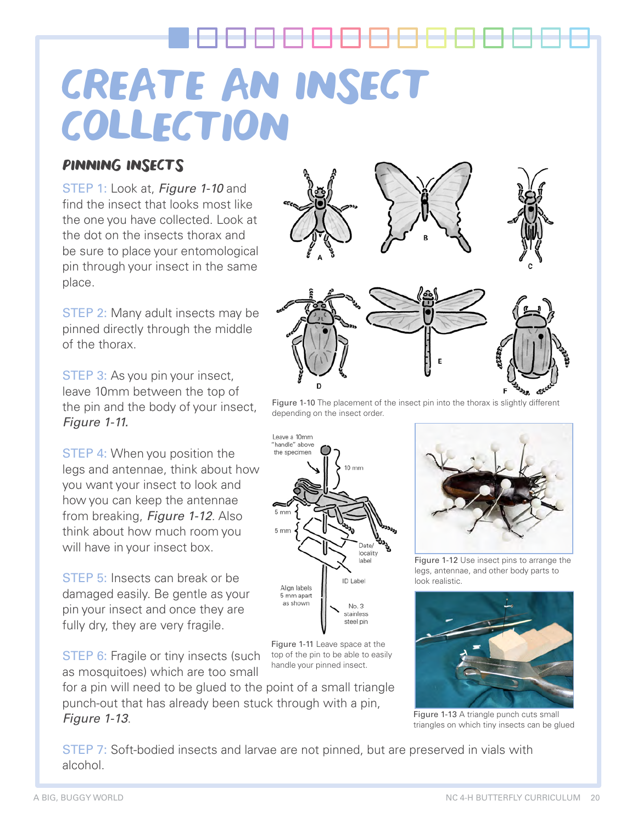### PINNING INSECTS

STEP 1: Look at, Figure 1-10 and find the insect that looks most like the one you have collected. Look at the dot on the insects thorax and be sure to place your entomological pin through your insect in the same place.

**STEP 2: Many adult insects may be** pinned directly through the middle of the thorax.

STEP 3: As you pin your insect, leave 10mm between the top of the pin and the body of your insect, Figure 1-11.

STEP 4: When you position the legs and antennae, think about how you want your insect to look and how you can keep the antennae from breaking, Figure 1-12. Also think about how much room you will have in your insect box.

STEP 5: Insects can break or be damaged easily. Be gentle as your pin your insect and once they are fully dry, they are very fragile.

**STEP 6:** Fragile or tiny insects (such as mosquitoes) which are too small

for a pin will need to be glued to the point of a small triangle punch-out that has already been stuck through with a pin, Figure 1-13.





Figure 1-10 The placement of the insect pin into the thorax is slightly different depending on the insect order.



Figure 1-11 Leave space at the top of the pin to be able to easily handle your pinned insect.



Figure 1-12 Use insect pins to arrange the legs, antennae, and other body parts to look realistic.



Figure 1-13 A triangle punch cuts small triangles on which tiny insects can be glued

STEP 7: Soft-bodied insects and larvae are not pinned, but are preserved in vials with alcohol.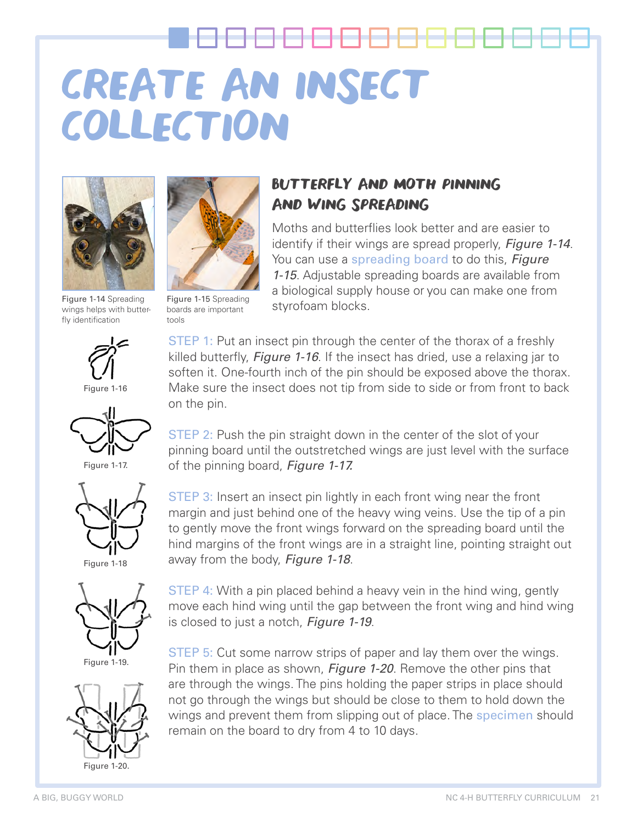

wings helps with butterfly identification



Figure 1-16



Figure 1-17.



Figure 1-18



Figure 1-19.





Figure 1-15 Spreading boards are important tools

# BUTTERFLY AND MOTH PINNING AND WING SPREADING

Moths and butterflies look better and are easier to identify if their wings are spread properly, Figure 1-14. You can use a spreading board to do this, Figure 1-15. Adjustable spreading boards are available from a biological supply house or you can make one from Figure 1-14 Spreading<br>wings helps with butter boards are important styrofoam blocks.

> STEP 1: Put an insect pin through the center of the thorax of a freshly killed butterfly, *Figure 1-16*. If the insect has dried, use a relaxing jar to soften it. One-fourth inch of the pin should be exposed above the thorax. Make sure the insect does not tip from side to side or from front to back on the pin.

> STEP 2: Push the pin straight down in the center of the slot of your pinning board until the outstretched wings are just level with the surface of the pinning board, Figure 1-17.

> STEP 3: Insert an insect pin lightly in each front wing near the front margin and just behind one of the heavy wing veins. Use the tip of a pin to gently move the front wings forward on the spreading board until the hind margins of the front wings are in a straight line, pointing straight out away from the body, Figure 1-18.

> STEP 4: With a pin placed behind a heavy vein in the hind wing, gently move each hind wing until the gap between the front wing and hind wing is closed to just a notch, Figure 1-19.

> STEP 5: Cut some narrow strips of paper and lay them over the wings. Pin them in place as shown, Figure 1-20. Remove the other pins that are through the wings. The pins holding the paper strips in place should not go through the wings but should be close to them to hold down the wings and prevent them from slipping out of place. The specimen should remain on the board to dry from 4 to 10 days.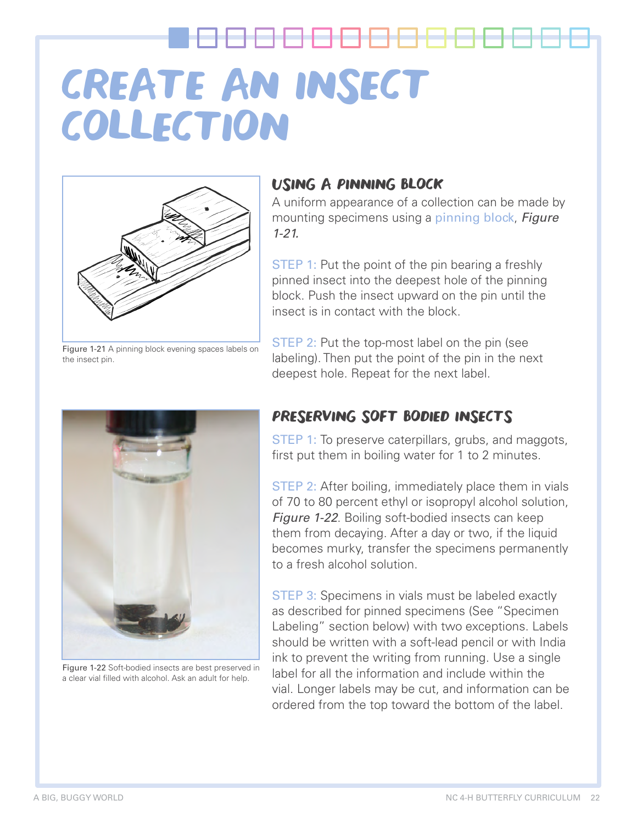

Figure 1-21 A pinning block evening spaces labels on the insect pin.

## USING A PINNING BLOCK

A uniform appearance of a collection can be made by mounting specimens using a pinning block, Figure 1-21.

**STEP 1:** Put the point of the pin bearing a freshly pinned insect into the deepest hole of the pinning block. Push the insect upward on the pin until the insect is in contact with the block.

STEP 2: Put the top-most label on the pin (see labeling). Then put the point of the pin in the next deepest hole. Repeat for the next label.



Figure 1-22 Soft-bodied insects are best preserved in a clear vial filled with alcohol. Ask an adult for help.

### PRESERVING SOFT BODIED INSECTS

STEP 1: To preserve caterpillars, grubs, and maggots, first put them in boiling water for 1 to 2 minutes.

STEP 2: After boiling, immediately place them in vials of 70 to 80 percent ethyl or isopropyl alcohol solution, **Figure 1-22.** Boiling soft-bodied insects can keep them from decaying. After a day or two, if the liquid becomes murky, transfer the specimens permanently to a fresh alcohol solution.

**STEP 3:** Specimens in vials must be labeled exactly as described for pinned specimens (See "Specimen Labeling" section below) with two exceptions. Labels should be written with a soft-lead pencil or with India ink to prevent the writing from running. Use a single label for all the information and include within the vial. Longer labels may be cut, and information can be ordered from the top toward the bottom of the label.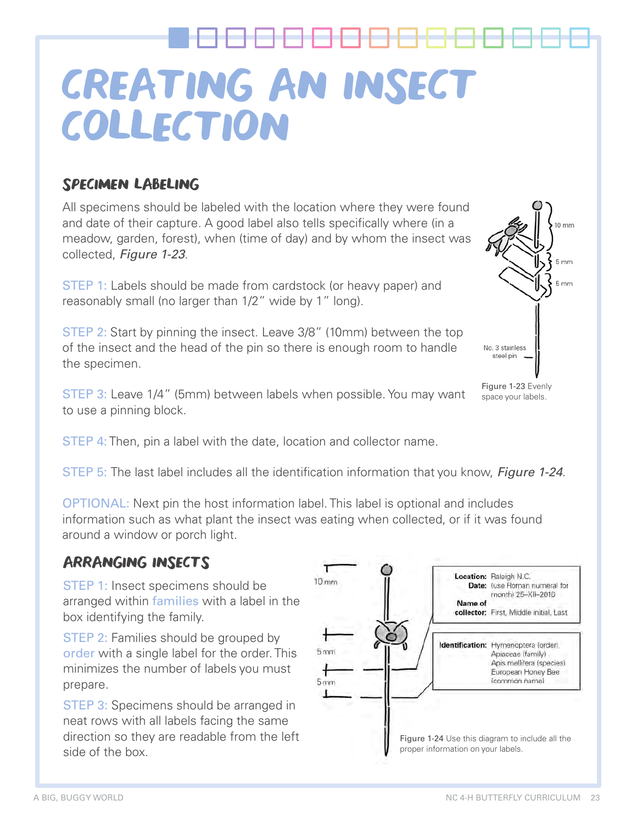## SPECIMEN LABELING

All specimens should be labeled with the location where they were found and date of their capture. A good label also tells specifically where (in a meadow, garden, forest), when (time of day) and by whom the insect was collected, Figure 1-23.

STEP 1: Labels should be made from cardstock (or heavy paper) and reasonably small (no larger than 1/2" wide by 1" long).

STEP 2: Start by pinning the insect. Leave 3/8" (10mm) between the top of the insect and the head of the pin so there is enough room to handle the specimen.

STEP 3: Leave 1/4" (5mm) between labels when possible. You may want to use a pinning block.

STEP 4: Then, pin a label with the date, location and collector name.

STEP 5: The last label includes all the identification information that you know, Figure 1-24.

OPTIONAL: Next pin the host information label. This label is optional and includes information such as what plant the insect was eating when collected, or if it was found around a window or porch light.

## ARRANGING INSECTS

STEP 1: Insect specimens should be arranged within families with a label in the box identifying the family.

**STEP 2: Families should be grouped by** order with a single label for the order. This minimizes the number of labels you must prepare.

**STEP 3: Specimens should be arranged in** neat rows with all labels facing the same direction so they are readable from the left side of the box.





Figure 1-23 Evenly space your labels.